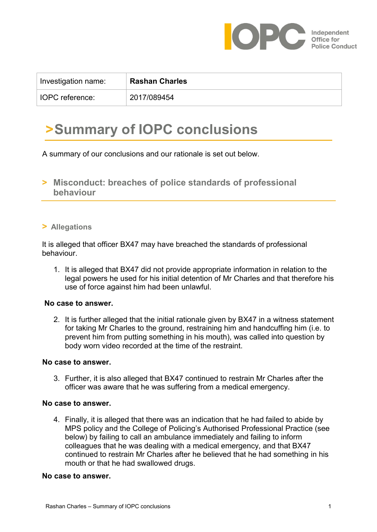

| Investigation name:    | <b>Rashan Charles</b> |
|------------------------|-----------------------|
| <b>IOPC</b> reference: | 2017/089454           |

# **>Summary of IOPC conclusions**

A summary of our conclusions and our rationale is set out below.

**> Misconduct: breaches of police standards of professional behaviour**

### **> Allegations**

It is alleged that officer BX47 may have breached the standards of professional behaviour.

1. It is alleged that BX47 did not provide appropriate information in relation to the legal powers he used for his initial detention of Mr Charles and that therefore his use of force against him had been unlawful.

#### **No case to answer.**

2. It is further alleged that the initial rationale given by BX47 in a witness statement for taking Mr Charles to the ground, restraining him and handcuffing him (i.e. to prevent him from putting something in his mouth), was called into question by body worn video recorded at the time of the restraint.

#### **No case to answer.**

3. Further, it is also alleged that BX47 continued to restrain Mr Charles after the officer was aware that he was suffering from a medical emergency.

#### **No case to answer.**

4. Finally, it is alleged that there was an indication that he had failed to abide by MPS policy and the College of Policing's Authorised Professional Practice (see below) by failing to call an ambulance immediately and failing to inform colleagues that he was dealing with a medical emergency, and that BX47 continued to restrain Mr Charles after he believed that he had something in his mouth or that he had swallowed drugs.

#### **No case to answer.**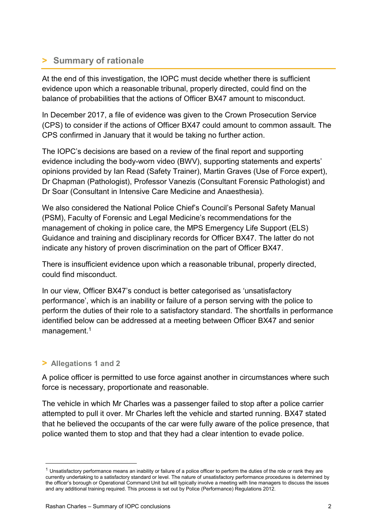# **> Summary of rationale**

At the end of this investigation, the IOPC must decide whether there is sufficient evidence upon which a reasonable tribunal, properly directed, could find on the balance of probabilities that the actions of Officer BX47 amount to misconduct.

In December 2017, a file of evidence was given to the Crown Prosecution Service (CPS) to consider if the actions of Officer BX47 could amount to common assault. The CPS confirmed in January that it would be taking no further action.

The IOPC's decisions are based on a review of the final report and supporting evidence including the body-worn video (BWV), supporting statements and experts' opinions provided by Ian Read (Safety Trainer), Martin Graves (Use of Force expert), Dr Chapman (Pathologist), Professor Vanezis (Consultant Forensic Pathologist) and Dr Soar (Consultant in Intensive Care Medicine and Anaesthesia).

We also considered the National Police Chief's Council's Personal Safety Manual (PSM), Faculty of Forensic and Legal Medicine's recommendations for the management of choking in police care, the MPS Emergency Life Support (ELS) Guidance and training and disciplinary records for Officer BX47. The latter do not indicate any history of proven discrimination on the part of Officer BX47.

There is insufficient evidence upon which a reasonable tribunal, properly directed, could find misconduct.

In our view, Officer BX47's conduct is better categorised as 'unsatisfactory performance', which is an inability or failure of a person serving with the police to perform the duties of their role to a satisfactory standard. The shortfalls in performance identified below can be addressed at a meeting between Officer BX47 and senior management.<sup>1</sup>

# **> Allegations 1 and 2**

1

A police officer is permitted to use force against another in circumstances where such force is necessary, proportionate and reasonable.

The vehicle in which Mr Charles was a passenger failed to stop after a police carrier attempted to pull it over. Mr Charles left the vehicle and started running. BX47 stated that he believed the occupants of the car were fully aware of the police presence, that police wanted them to stop and that they had a clear intention to evade police.

 $1$  Unsatisfactory performance means an inability or failure of a police officer to perform the duties of the role or rank they are currently undertaking to a satisfactory standard or level. The nature of unsatisfactory performance procedures is determined by the officer's borough or Operational Command Unit but will typically involve a meeting with line managers to discuss the issues and any additional training required. This process is set out by Police (Performance) Regulations 2012.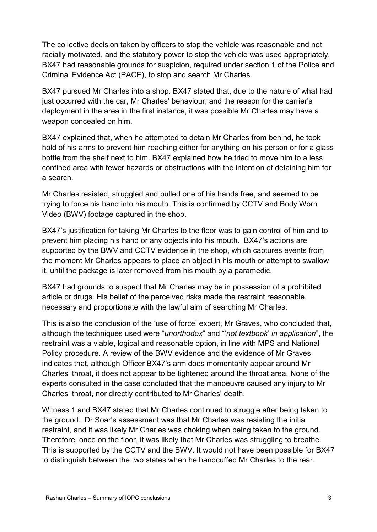The collective decision taken by officers to stop the vehicle was reasonable and not racially motivated, and the statutory power to stop the vehicle was used appropriately. BX47 had reasonable grounds for suspicion, required under section 1 of the Police and Criminal Evidence Act (PACE), to stop and search Mr Charles.

BX47 pursued Mr Charles into a shop. BX47 stated that, due to the nature of what had just occurred with the car, Mr Charles' behaviour, and the reason for the carrier's deployment in the area in the first instance, it was possible Mr Charles may have a weapon concealed on him.

BX47 explained that, when he attempted to detain Mr Charles from behind, he took hold of his arms to prevent him reaching either for anything on his person or for a glass bottle from the shelf next to him. BX47 explained how he tried to move him to a less confined area with fewer hazards or obstructions with the intention of detaining him for a search.

Mr Charles resisted, struggled and pulled one of his hands free, and seemed to be trying to force his hand into his mouth. This is confirmed by CCTV and Body Worn Video (BWV) footage captured in the shop.

BX47's justification for taking Mr Charles to the floor was to gain control of him and to prevent him placing his hand or any objects into his mouth. BX47's actions are supported by the BWV and CCTV evidence in the shop, which captures events from the moment Mr Charles appears to place an object in his mouth or attempt to swallow it, until the package is later removed from his mouth by a paramedic.

BX47 had grounds to suspect that Mr Charles may be in possession of a prohibited article or drugs. His belief of the perceived risks made the restraint reasonable, necessary and proportionate with the lawful aim of searching Mr Charles.

This is also the conclusion of the 'use of force' expert, Mr Graves, who concluded that, although the techniques used were "*unorthodox*" and "'*not textbook*' *in application*", the restraint was a viable, logical and reasonable option, in line with MPS and National Policy procedure. A review of the BWV evidence and the evidence of Mr Graves indicates that, although Officer BX47's arm does momentarily appear around Mr Charles' throat, it does not appear to be tightened around the throat area. None of the experts consulted in the case concluded that the manoeuvre caused any injury to Mr Charles' throat, nor directly contributed to Mr Charles' death.

Witness 1 and BX47 stated that Mr Charles continued to struggle after being taken to the ground. Dr Soar's assessment was that Mr Charles was resisting the initial restraint, and it was likely Mr Charles was choking when being taken to the ground. Therefore, once on the floor, it was likely that Mr Charles was struggling to breathe. This is supported by the CCTV and the BWV. It would not have been possible for BX47 to distinguish between the two states when he handcuffed Mr Charles to the rear.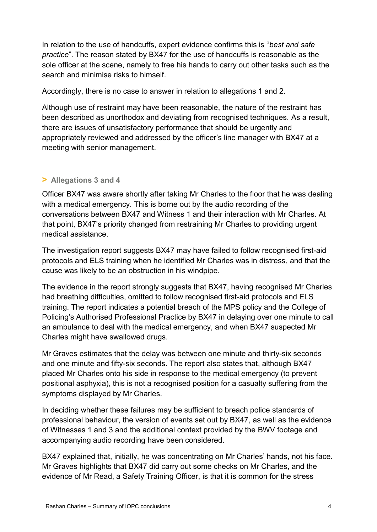In relation to the use of handcuffs, expert evidence confirms this is "*best and safe practice*". The reason stated by BX47 for the use of handcuffs is reasonable as the sole officer at the scene, namely to free his hands to carry out other tasks such as the search and minimise risks to himself.

Accordingly, there is no case to answer in relation to allegations 1 and 2.

Although use of restraint may have been reasonable, the nature of the restraint has been described as unorthodox and deviating from recognised techniques. As a result, there are issues of unsatisfactory performance that should be urgently and appropriately reviewed and addressed by the officer's line manager with BX47 at a meeting with senior management.

# **> Allegations 3 and 4**

Officer BX47 was aware shortly after taking Mr Charles to the floor that he was dealing with a medical emergency. This is borne out by the audio recording of the conversations between BX47 and Witness 1 and their interaction with Mr Charles. At that point, BX47's priority changed from restraining Mr Charles to providing urgent medical assistance.

The investigation report suggests BX47 may have failed to follow recognised first-aid protocols and ELS training when he identified Mr Charles was in distress, and that the cause was likely to be an obstruction in his windpipe.

The evidence in the report strongly suggests that BX47, having recognised Mr Charles had breathing difficulties, omitted to follow recognised first-aid protocols and ELS training. The report indicates a potential breach of the MPS policy and the College of Policing's Authorised Professional Practice by BX47 in delaying over one minute to call an ambulance to deal with the medical emergency, and when BX47 suspected Mr Charles might have swallowed drugs.

Mr Graves estimates that the delay was between one minute and thirty-six seconds and one minute and fifty-six seconds. The report also states that, although BX47 placed Mr Charles onto his side in response to the medical emergency (to prevent positional asphyxia), this is not a recognised position for a casualty suffering from the symptoms displayed by Mr Charles.

In deciding whether these failures may be sufficient to breach police standards of professional behaviour, the version of events set out by BX47, as well as the evidence of Witnesses 1 and 3 and the additional context provided by the BWV footage and accompanying audio recording have been considered.

BX47 explained that, initially, he was concentrating on Mr Charles' hands, not his face. Mr Graves highlights that BX47 did carry out some checks on Mr Charles, and the evidence of Mr Read, a Safety Training Officer, is that it is common for the stress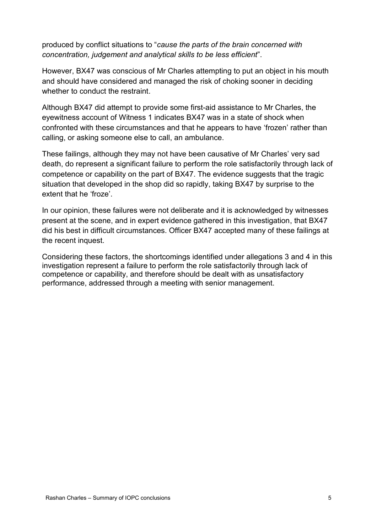produced by conflict situations to "*cause the parts of the brain concerned with concentration, judgement and analytical skills to be less efficient*".

However, BX47 was conscious of Mr Charles attempting to put an object in his mouth and should have considered and managed the risk of choking sooner in deciding whether to conduct the restraint.

Although BX47 did attempt to provide some first-aid assistance to Mr Charles, the eyewitness account of Witness 1 indicates BX47 was in a state of shock when confronted with these circumstances and that he appears to have 'frozen' rather than calling, or asking someone else to call, an ambulance.

These failings, although they may not have been causative of Mr Charles' very sad death, do represent a significant failure to perform the role satisfactorily through lack of competence or capability on the part of BX47. The evidence suggests that the tragic situation that developed in the shop did so rapidly, taking BX47 by surprise to the extent that he 'froze'.

In our opinion, these failures were not deliberate and it is acknowledged by witnesses present at the scene, and in expert evidence gathered in this investigation, that BX47 did his best in difficult circumstances. Officer BX47 accepted many of these failings at the recent inquest.

Considering these factors, the shortcomings identified under allegations 3 and 4 in this investigation represent a failure to perform the role satisfactorily through lack of competence or capability, and therefore should be dealt with as unsatisfactory performance, addressed through a meeting with senior management.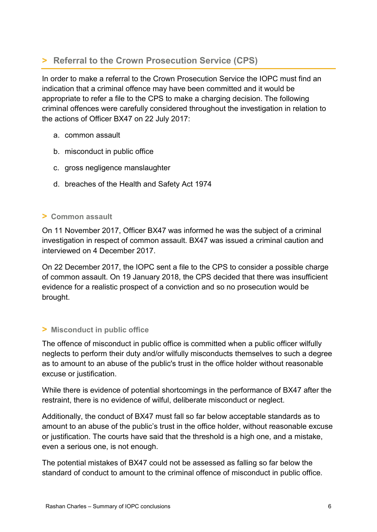# **> Referral to the Crown Prosecution Service (CPS)**

In order to make a referral to the Crown Prosecution Service the IOPC must find an indication that a criminal offence may have been committed and it would be appropriate to refer a file to the CPS to make a charging decision. The following criminal offences were carefully considered throughout the investigation in relation to the actions of Officer BX47 on 22 July 2017:

- a. common assault
- b. misconduct in public office
- c. gross negligence manslaughter
- d. breaches of the Health and Safety Act 1974

## **> Common assault**

On 11 November 2017, Officer BX47 was informed he was the subject of a criminal investigation in respect of common assault. BX47 was issued a criminal caution and interviewed on 4 December 2017.

On 22 December 2017, the IOPC sent a file to the CPS to consider a possible charge of common assault. On 19 January 2018, the CPS decided that there was insufficient evidence for a realistic prospect of a conviction and so no prosecution would be brought.

### **> Misconduct in public office**

The offence of misconduct in public office is committed when a public officer wilfully neglects to perform their duty and/or wilfully misconducts themselves to such a degree as to amount to an abuse of the public's trust in the office holder without reasonable excuse or justification.

While there is evidence of potential shortcomings in the performance of BX47 after the restraint, there is no evidence of wilful, deliberate misconduct or neglect.

Additionally, the conduct of BX47 must fall so far below acceptable standards as to amount to an abuse of the public's trust in the office holder, without reasonable excuse or justification. The courts have said that the threshold is a high one, and a mistake, even a serious one, is not enough.

The potential mistakes of BX47 could not be assessed as falling so far below the standard of conduct to amount to the criminal offence of misconduct in public office.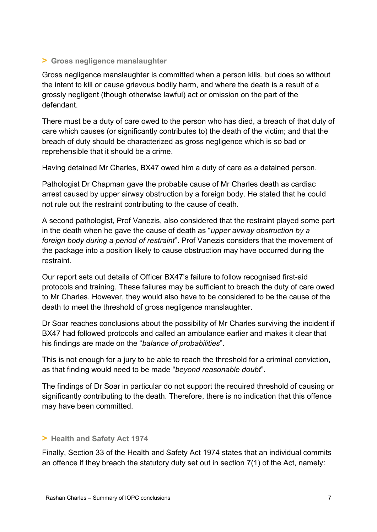# **> Gross negligence manslaughter**

Gross negligence manslaughter is committed when a person kills, but does so without the intent to kill or cause grievous bodily harm, and where the death is a result of a grossly negligent (though otherwise lawful) act or omission on the part of the defendant.

There must be a duty of care owed to the person who has died, a breach of that duty of care which causes (or significantly contributes to) the death of the victim; and that the breach of duty should be characterized as gross negligence which is so bad or reprehensible that it should be a crime.

Having detained Mr Charles, BX47 owed him a duty of care as a detained person.

Pathologist Dr Chapman gave the probable cause of Mr Charles death as cardiac arrest caused by upper airway obstruction by a foreign body. He stated that he could not rule out the restraint contributing to the cause of death.

A second pathologist, Prof Vanezis, also considered that the restraint played some part in the death when he gave the cause of death as "*upper airway obstruction by a foreign body during a period of restraint*". Prof Vanezis considers that the movement of the package into a position likely to cause obstruction may have occurred during the restraint.

Our report sets out details of Officer BX47's failure to follow recognised first-aid protocols and training. These failures may be sufficient to breach the duty of care owed to Mr Charles. However, they would also have to be considered to be the cause of the death to meet the threshold of gross negligence manslaughter.

Dr Soar reaches conclusions about the possibility of Mr Charles surviving the incident if BX47 had followed protocols and called an ambulance earlier and makes it clear that his findings are made on the "*balance of probabilities*".

This is not enough for a jury to be able to reach the threshold for a criminal conviction, as that finding would need to be made "*beyond reasonable doubt*".

The findings of Dr Soar in particular do not support the required threshold of causing or significantly contributing to the death. Therefore, there is no indication that this offence may have been committed.

# **> Health and Safety Act 1974**

Finally, Section 33 of the Health and Safety Act 1974 states that an individual commits an offence if they breach the statutory duty set out in section 7(1) of the Act, namely: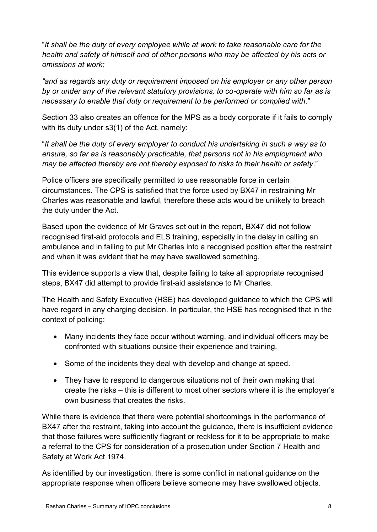"*It shall be the duty of every employee while at work to take reasonable care for the health and safety of himself and of other persons who may be affected by his acts or omissions at work;* 

*"and as regards any duty or requirement imposed on his employer or any other person by or under any of the relevant statutory provisions, to co-operate with him so far as is necessary to enable that duty or requirement to be performed or complied with*."

Section 33 also creates an offence for the MPS as a body corporate if it fails to comply with its duty under s3(1) of the Act, namely:

"*It shall be the duty of every employer to conduct his undertaking in such a way as to ensure, so far as is reasonably practicable, that persons not in his employment who may be affected thereby are not thereby exposed to risks to their health or safety*."

Police officers are specifically permitted to use reasonable force in certain circumstances. The CPS is satisfied that the force used by BX47 in restraining Mr Charles was reasonable and lawful, therefore these acts would be unlikely to breach the duty under the Act.

Based upon the evidence of Mr Graves set out in the report, BX47 did not follow recognised first-aid protocols and ELS training, especially in the delay in calling an ambulance and in failing to put Mr Charles into a recognised position after the restraint and when it was evident that he may have swallowed something.

This evidence supports a view that, despite failing to take all appropriate recognised steps, BX47 did attempt to provide first-aid assistance to Mr Charles.

The Health and Safety Executive (HSE) has developed guidance to which the CPS will have regard in any charging decision. In particular, the HSE has recognised that in the context of policing:

- Many incidents they face occur without warning, and individual officers may be confronted with situations outside their experience and training.
- Some of the incidents they deal with develop and change at speed.
- They have to respond to dangerous situations not of their own making that create the risks – this is different to most other sectors where it is the employer's own business that creates the risks.

While there is evidence that there were potential shortcomings in the performance of BX47 after the restraint, taking into account the guidance, there is insufficient evidence that those failures were sufficiently flagrant or reckless for it to be appropriate to make a referral to the CPS for consideration of a prosecution under Section 7 Health and Safety at Work Act 1974.

As identified by our investigation, there is some conflict in national guidance on the appropriate response when officers believe someone may have swallowed objects.